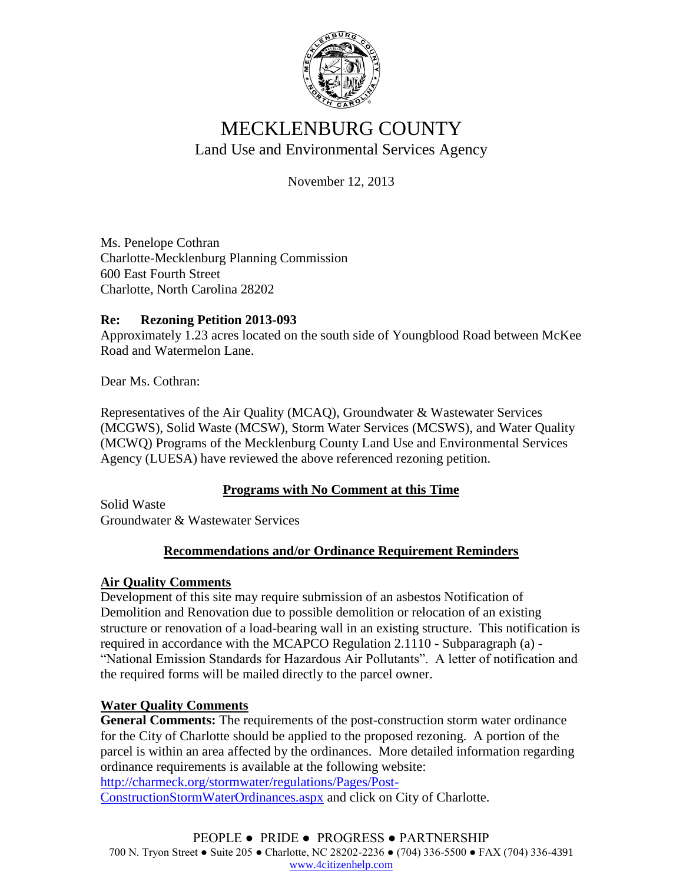

# MECKLENBURG COUNTY Land Use and Environmental Services Agency

November 12, 2013

Ms. Penelope Cothran Charlotte-Mecklenburg Planning Commission 600 East Fourth Street Charlotte, North Carolina 28202

## **Re: Rezoning Petition 2013-093**

Approximately 1.23 acres located on the south side of Youngblood Road between McKee Road and Watermelon Lane.

Dear Ms. Cothran:

Representatives of the Air Quality (MCAQ), Groundwater & Wastewater Services (MCGWS), Solid Waste (MCSW), Storm Water Services (MCSWS), and Water Quality (MCWQ) Programs of the Mecklenburg County Land Use and Environmental Services Agency (LUESA) have reviewed the above referenced rezoning petition.

## **Programs with No Comment at this Time**

Solid Waste Groundwater & Wastewater Services

## **Recommendations and/or Ordinance Requirement Reminders**

## **Air Quality Comments**

Development of this site may require submission of an asbestos Notification of Demolition and Renovation due to possible demolition or relocation of an existing structure or renovation of a load-bearing wall in an existing structure. This notification is required in accordance with the MCAPCO Regulation 2.1110 - Subparagraph (a) - "National Emission Standards for Hazardous Air Pollutants". A letter of notification and the required forms will be mailed directly to the parcel owner.

## **Water Quality Comments**

**General Comments:** The requirements of the post-construction storm water ordinance for the City of Charlotte should be applied to the proposed rezoning. A portion of the parcel is within an area affected by the ordinances. More detailed information regarding ordinance requirements is available at the following website:

[http://charmeck.org/stormwater/regulations/Pages/Post-](http://charmeck.org/stormwater/regulations/Pages/Post-ConstructionStormWaterOrdinances.aspx)

[ConstructionStormWaterOrdinances.aspx](http://charmeck.org/stormwater/regulations/Pages/Post-ConstructionStormWaterOrdinances.aspx) and click on City of Charlotte.